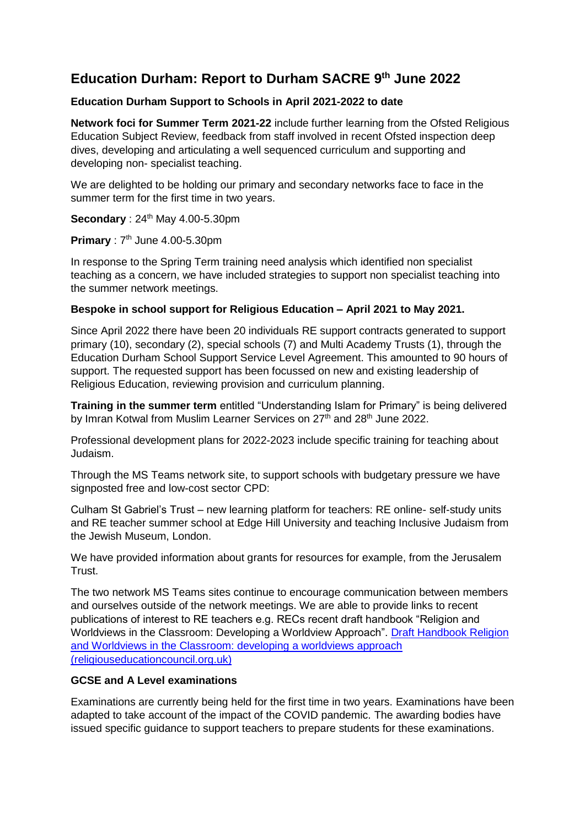# **Education Durham: Report to Durham SACRE 9 th June 2022**

## **Education Durham Support to Schools in April 2021-2022 to date**

**Network foci for Summer Term 2021-22** include further learning from the Ofsted Religious Education Subject Review, feedback from staff involved in recent Ofsted inspection deep dives, developing and articulating a well sequenced curriculum and supporting and developing non- specialist teaching.

We are delighted to be holding our primary and secondary networks face to face in the summer term for the first time in two years.

**Secondary** : 24<sup>th</sup> May 4.00-5.30pm

# **Primary** : 7<sup>th</sup> June 4.00-5.30pm

In response to the Spring Term training need analysis which identified non specialist teaching as a concern, we have included strategies to support non specialist teaching into the summer network meetings.

#### **Bespoke in school support for Religious Education – April 2021 to May 2021.**

Since April 2022 there have been 20 individuals RE support contracts generated to support primary (10), secondary (2), special schools (7) and Multi Academy Trusts (1), through the Education Durham School Support Service Level Agreement. This amounted to 90 hours of support. The requested support has been focussed on new and existing leadership of Religious Education, reviewing provision and curriculum planning.

**Training in the summer term** entitled "Understanding Islam for Primary" is being delivered by Imran Kotwal from Muslim Learner Services on 27<sup>th</sup> and 28<sup>th</sup> June 2022.

Professional development plans for 2022-2023 include specific training for teaching about Judaism.

Through the MS Teams network site, to support schools with budgetary pressure we have signposted free and low-cost sector CPD:

Culham St Gabriel's Trust – new learning platform for teachers: RE online- self-study units and RE teacher summer school at Edge Hill University and teaching Inclusive Judaism from the Jewish Museum, London.

We have provided information about grants for resources for example, from the Jerusalem Trust.

The two network MS Teams sites continue to encourage communication between members and ourselves outside of the network meetings. We are able to provide links to recent publications of interest to RE teachers e.g. RECs recent draft handbook "Religion and Worldviews in the Classroom: Developing a Worldview Approach". [Draft Handbook Religion](https://www.religiouseducationcouncil.org.uk/wp-content/uploads/2022/05/REC-Worldviews-Project-Draft-Handbook-single-pages.pdf)  [and Worldviews in the Classroom: developing a worldviews approach](https://www.religiouseducationcouncil.org.uk/wp-content/uploads/2022/05/REC-Worldviews-Project-Draft-Handbook-single-pages.pdf)  [\(religiouseducationcouncil.org.uk\)](https://www.religiouseducationcouncil.org.uk/wp-content/uploads/2022/05/REC-Worldviews-Project-Draft-Handbook-single-pages.pdf)

# **GCSE and A Level examinations**

Examinations are currently being held for the first time in two years. Examinations have been adapted to take account of the impact of the COVID pandemic. The awarding bodies have issued specific guidance to support teachers to prepare students for these examinations.